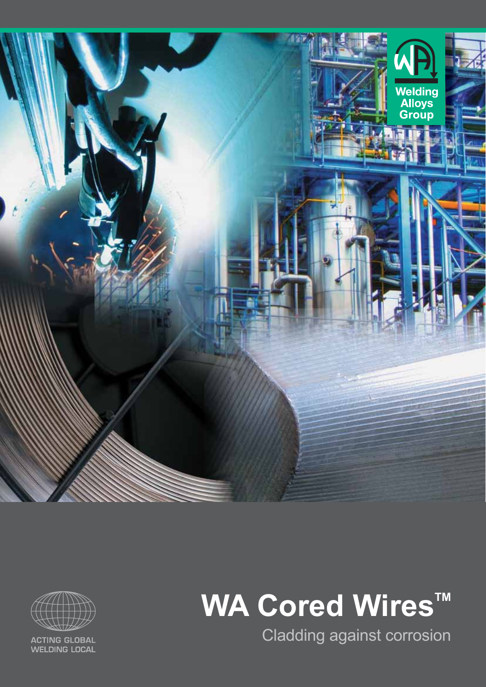



**ACTING GLOBAL WELDING LOCAL** 

# **WA Cored Wires™**

Cladding against corrosion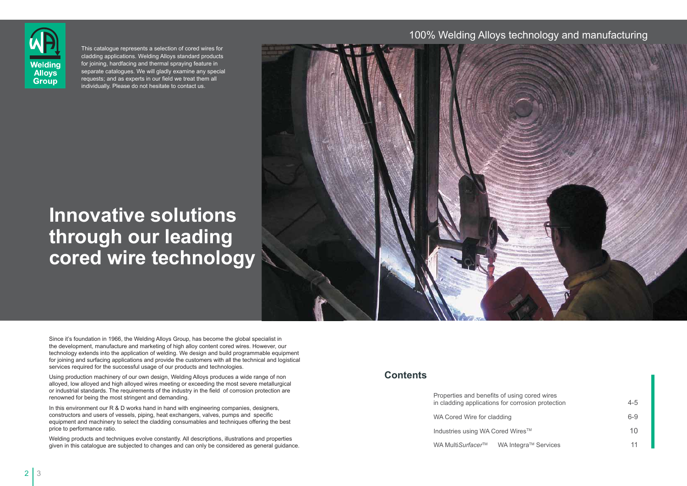## **Innovative solutions through our leading cored wire technology**



Since it's foundation in 1966, the Welding Alloys Group, has become the global specialist in the development, manufacture and marketing of high alloy content cored wires. However, our technology extends into the application of welding. We design and build programmable equipment for joining and surfacing applications and provide the customers with all the technical and logistical services required for the successful usage of our products and technologies.

In this environment our R & D works hand in hand with engineering companies, designers, constructors and users of vessels, piping, heat exchangers, valves, pumps and specific equipment and machinery to select the cladding consumables and techniques offering the best price to performance ratio.

Using production machinery of our own design, Welding Alloys produces a wide range of non alloyed, low alloyed and high alloyed wires meeting or exceeding the most severe metallurgical or industrial standards. The requirements of the industry in the field of corrosion protection are renowned for being the most stringent and demanding.

Welding products and techniques evolve constantly. All descriptions, illustrations and properties given in this catalogue are subjected to changes and can only be considered as general guidance.

This catalogue represents a selection of cored wires for cladding applications. Welding Alloys standard products for joining, hardfacing and thermal spraying feature in separate catalogues. We will gladly examine any special requests; and as experts in our field we treat them all individually. Please do not hesitate to contact us.

### 100% Welding Alloys technology and manufacturing



#### **Contents**

Properties and benefits of using in cladding applications for corr WA Cored Wire for cladding

Industries using WA Cored Wir

WA Multi*Surfacer*™ WA Inte

| g cored wires<br>osion protection              | $4 - 5$ |
|------------------------------------------------|---------|
|                                                | $6 - 9$ |
| $\mathsf{es}^{\scriptscriptstyle \mathsf{TM}}$ | 10      |
| gra™ Services                                  | 11      |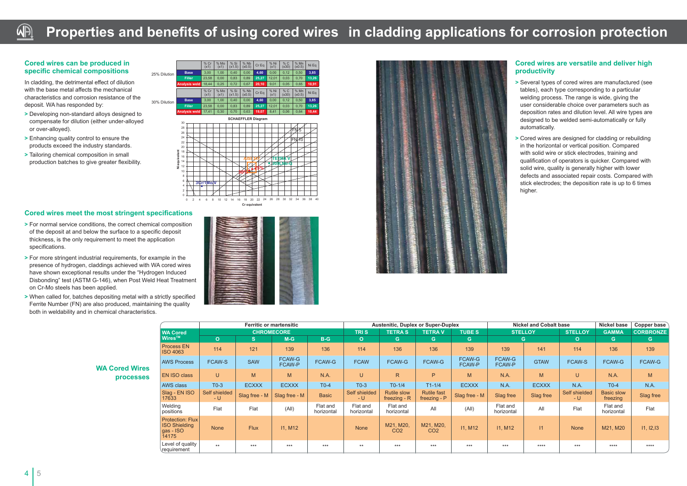#### **Cored wires can be produced in specific chemical compositions**

In cladding, the detrimental effect of dilution with the base metal affects the mechanical characteristics and corrosion resistance of the deposit. WA has responded by:

- **>** Developing non-standard alloys designed to compensate for dilution (either under-alloyed or over-alloyed).
- **>** Enhancing quality control to ensure the products exceed the industry standards.
- **>** Tailoring chemical composition in small production batches to give greater flexibility.

#### **Cored wires meet the most stringent specifications**

- **>** For normal service conditions, the correct chemical composition of the deposit at and below the surface to a specific deposit thickness, is the only requirement to meet the application specifications.
- **>** For more stringent industrial requirements, for example in the presence of hydrogen, claddings achieved with WA cored wires have shown exceptional results under the "Hydrogen Induced Disbonding" test (ASTM G-146), when Post Weld Heat Treatment on Cr-Mo steels has been applied.
- **>** When called for, batches depositing metal with a strictly specified Ferrite Number (FN) are also produced, maintaining the quality both in weldability and in chemical characteristics.



| İ                             |   |
|-------------------------------|---|
|                               |   |
|                               |   |
|                               |   |
| <b>Contract</b>               |   |
| <b>THE REPORT OF PROPERTY</b> |   |
| <b>CONTRACTOR</b>             |   |
|                               |   |
|                               |   |
| <b>CONTRACTOR</b>             |   |
| <b>CONTRACTOR</b>             |   |
|                               | ١ |
|                               |   |

sene yang lain kemudi yang liling linggi (le

|                                           |                                                                          |                      |               | <b>Ferritic or martensitic</b> |                        | <b>Austenitic, Duplex or Super-Duplex</b> |                                    |                                    |                  |                        | <b>Nickel and Cobalt base</b> | <b>Nickel base</b>   | Copper base                   |                  |
|-------------------------------------------|--------------------------------------------------------------------------|----------------------|---------------|--------------------------------|------------------------|-------------------------------------------|------------------------------------|------------------------------------|------------------|------------------------|-------------------------------|----------------------|-------------------------------|------------------|
|                                           | <b>WA Cored</b>                                                          |                      |               | <b>CHROMECORE</b>              |                        | <b>TRIS</b>                               | <b>TETRAS</b>                      | <b>TETRAV</b>                      | <b>TUBES</b>     |                        | <b>STELLOY</b>                | <b>STELLOY</b>       | <b>GAMMA</b>                  | <b>CORBRONZE</b> |
|                                           | <b>Wires™</b>                                                            | $\mathbf{O}$         | S.            | $M-G$                          | $B-G$                  | $\mathbf{o}$                              | G.                                 | G.                                 | G.               |                        | G.                            | $\mathbf{O}$         | G.                            | G.               |
|                                           | Process EN<br><b>ISO 4063</b>                                            | 114                  | 121           | 139                            | 136                    | 114                                       | 136                                | 136                                | 139              | 139                    | 141                           | 114                  | 136                           | 139              |
| <b>WA Cored Wires</b><br><b>processes</b> | <b>AWS Process</b>                                                       | <b>FCAW-S</b>        | <b>SAW</b>    | FCAW-G<br>FCAW-P               | FCAW-G                 | <b>FCAW</b>                               | FCAW-G                             | FCAW-G                             | FCAW-G<br>FCAW-P | FCAW-G<br>FCAW-P       | <b>GTAW</b>                   | <b>FCAW-S</b>        | FCAW-G                        | FCAW-G           |
|                                           | <b>EN ISO class</b>                                                      | U                    | M             | M                              | N.A.                   | U                                         | $\mathsf{R}$                       | P                                  | M                | N.A.                   | M                             | $\cup$               | N.A.                          | M                |
|                                           | AWS class                                                                | $T0-3$               | <b>ECXXX</b>  | <b>ECXXX</b>                   | $T0-4$                 | $T0-3$                                    | $T0-1/4$                           | $T1 - 1/4$                         | <b>ECXXX</b>     | N.A.                   | <b>ECXXX</b>                  | N.A.                 | $T0-4$                        | N.A.             |
|                                           | Slag - EN ISO<br>17633                                                   | Self shielded<br>– U | Slag free - M | Slag free - M                  | <b>Basic</b>           | Self shielded<br>– U                      | <b>Rutile slow</b><br>freezing - R | <b>Rutile fast</b><br>freezing - P | Slag free - M    | Slag free              | Slag free                     | Self shielded<br>– U | <b>Basic slow</b><br>freezing | Slag free        |
|                                           | Welding<br>positions                                                     | Flat                 | Flat          | (A  )                          | Flat and<br>horizontal | Flat and<br>horizontal                    | Flat and<br>horizontal             | All                                | (A  )            | Flat and<br>horizontal | All                           | Flat                 | Flat and<br>horizontal        | Flat             |
|                                           | <b>Protection: Flux</b><br><b>ISO Shielding</b><br>$q$ as - ISO<br>14175 | None                 | <b>Flux</b>   | <b>11, M12</b>                 |                        | <b>None</b>                               | M21, M20,<br>CO <sub>2</sub>       | M21, M20,<br>CO <sub>2</sub>       | <b>11, M12</b>   | <b>11, M12</b>         | 11                            | <b>None</b>          | M21, M20                      | 11, 12, 13       |
|                                           | Level of quality<br>requirement                                          | $***$                | $***$         | $***$                          | $***$                  | $***$                                     | ***                                | $***$                              | $***$            | $***$                  | $****$                        | $***$                | ****                          | ****             |

#### WA **Properties and benefits of using cored wires in cladding applications for corrosion protection**





#### **Cored wires are versatile and deliver high productivity**

- **>** Several types of cored wires are manufactured (see tables), each type corresponding to a particular welding process. The range is wide, giving the user considerable choice over parameters such as deposition rates and dilution level. All wire types are designed to be welded semi-automatically or fully automatically.
- **>** Cored wires are designed for cladding or rebuilding in the horizontal or vertical position. Compared with solid wire or stick electrodes, training and qualification of operators is quicker. Compared with solid wire, quality is generally higher with lower defects and associated repair costs. Compared with stick electrodes; the deposition rate is up to 6 times higher.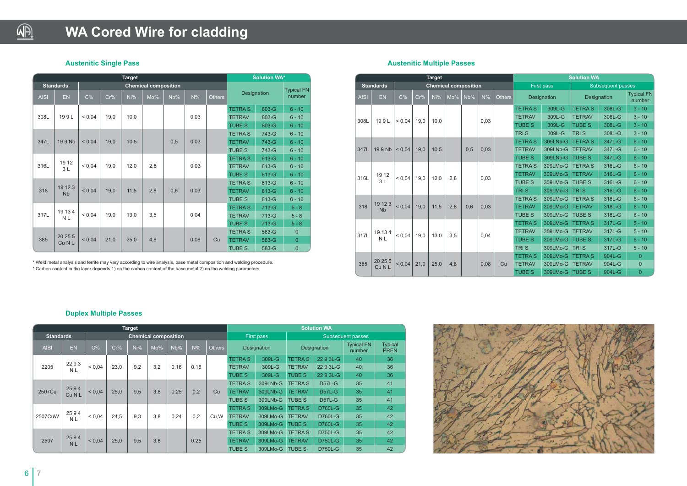#### **Duplex Multiple Passes**

\* Weld metal analysis and ferrite may vary according to wire analysis, base metal composition and welding procedure. \* Carbon content in the layer depends 1) on the carbon content of the base metal 2) on the welding parameters.



### **WA Cored Wire for cladding**

#### **Austenitic Single Pass**

|             |                      |                   |      | <b>Target</b> |                             |     |       |               |                       | <b>Solution WA*</b> |                   |
|-------------|----------------------|-------------------|------|---------------|-----------------------------|-----|-------|---------------|-----------------------|---------------------|-------------------|
|             | <b>Standards</b>     |                   |      |               | <b>Chemical composition</b> |     |       |               |                       |                     | <b>Typical FN</b> |
| <b>AISI</b> | <b>EN</b>            | C%                | Cr%  | Ni%           | Mo%                         | Nb% | $N\%$ | <b>Others</b> | Designation<br>number |                     |                   |
|             |                      |                   |      |               |                             |     |       |               | <b>TETRAS</b>         | 803-G               | $6 - 10$          |
| 308L        | 199L                 | ${}_{0.04}$       | 19,0 | 10,0          |                             |     | 0,03  |               | <b>TETRAV</b>         | 803-G               | $6 - 10$          |
|             |                      |                   |      |               |                             |     |       |               | <b>TUBE S</b>         | 803-G               | $6 - 10$          |
|             |                      |                   |      |               |                             |     |       |               | <b>TETRAS</b>         | 743-G               | $6 - 10$          |
| 347L        | 199 Nb               | < 0.04            | 19,0 | 10,5          |                             | 0,5 | 0,03  |               | <b>TETRAV</b>         | 743-G               | $6 - 10$          |
|             |                      |                   |      |               |                             |     |       |               | <b>TUBE S</b>         | 743-G               | $6 - 10$          |
|             | 19 12                |                   |      |               |                             |     |       |               | <b>TETRAS</b>         | 613-G               | $6 - 10$          |
| 316L        | 3L                   | < 0.04            | 19,0 | 12,0          | 2,8                         |     | 0,03  |               | <b>TETRAV</b>         | 613-G               | $6 - 10$          |
|             |                      |                   |      |               |                             |     |       |               | <b>TUBE S</b>         | 613-G               | $6 - 10$          |
|             | 19 12 3              |                   |      |               |                             |     |       |               | <b>TETRAS</b>         | 813-G               | $6 - 10$          |
| 318         | <b>N<sub>b</sub></b> | < 0.04            | 19,0 | 11,5          | 2,8                         | 0,6 | 0,03  |               | <b>TETRAV</b>         | 813-G               | $6 - 10$          |
|             |                      |                   |      |               |                             |     |       |               | <b>TUBE S</b>         | 813-G               | $6 - 10$          |
|             |                      |                   |      |               |                             |     |       |               | <b>TETRAS</b>         | 713-G               | $5 - 8$           |
| 317L        | 19 13 4<br>N L       | < 0.04            | 19,0 | 13,0          | 3,5                         |     | 0,04  |               | <b>TETRAV</b>         | 713-G               | $5 - 8$           |
|             |                      |                   |      |               |                             |     |       |               | <b>TUBE S</b>         | 713-G               | $5 - 8$           |
|             |                      |                   |      |               |                             |     |       |               | <b>TETRAS</b>         | 583-G               | 0                 |
| 385         |                      | 20 25 5<br>< 0.04 | 21,0 | 25,0          | 4,8                         |     | 0,08  | Cu            | <b>TETRAV</b>         | 583-G               | 0                 |
|             |                      | Cu N L            |      |               |                             |     |       |               | <b>TUBE S</b>         | 583-G               | 0                 |

|                  |                          |             |      | <b>Target</b>  |                             |                |               |               | <b>Solution WA</b> |                                 |                |                |        |               |                             |                               |    |
|------------------|--------------------------|-------------|------|----------------|-----------------------------|----------------|---------------|---------------|--------------------|---------------------------------|----------------|----------------|--------|---------------|-----------------------------|-------------------------------|----|
| <b>Standards</b> |                          |             |      |                | <b>Chemical composition</b> |                |               |               |                    | First pass<br>Subsequent passes |                |                |        |               |                             |                               |    |
| <b>AISI</b>      | EN                       | $C\%$       | Cr%  | Ni%            | Mo%                         | Nb%            | $N\%$         | <b>Others</b> |                    | Designation                     |                | Designation    |        |               | <b>Typical FN</b><br>number | <b>Typical</b><br><b>PREN</b> |    |
|                  |                          |             |      |                |                             |                |               |               | <b>TETRAS</b>      | 309L-G                          | <b>TETRA S</b> | 22 9 3L-G      | 40     | 36            |                             |                               |    |
| 2205             | 2293<br>N L              | ${}_{0,04}$ | 23,0 | 9,2            | 3,2                         | 0, 16          | 0,15          |               |                    |                                 |                | <b>TETRAV</b>  | 309L-G | <b>TETRAV</b> | 22 9 3L-G                   | 40                            | 36 |
|                  |                          |             |      |                |                             |                |               | <b>TUBE S</b> | 309L-G             | <b>TUBE S</b>                   | 22 9 3L-G      | 40             | 36     |               |                             |                               |    |
|                  |                          |             |      | <b>TETRA S</b> | 309LNb-G                    | <b>TETRA S</b> | <b>D57L-G</b> | 35            | 41                 |                                 |                |                |        |               |                             |                               |    |
| 2507Cu           | 2594<br>Cu <sub>NL</sub> | ${}_{0.04}$ | 25,0 | 9,5            | 3.8                         | 0,25           | 0.2           | Cu            | <b>TETRAV</b>      | 309LNb-G                        | <b>TETRAV</b>  | $D57L-G$       | 35     | 41            |                             |                               |    |
|                  |                          |             |      |                |                             |                |               |               | <b>TUBE S</b>      | 309LNb-G                        | <b>TUBE S</b>  | <b>D57L-G</b>  | 35     | 41            |                             |                               |    |
|                  |                          |             |      |                |                             |                |               |               | <b>TETRA S</b>     | 309LMo-G                        | <b>TETRAS</b>  | <b>D760L-G</b> | 35     | 42            |                             |                               |    |
| 2507CuW          | 2594<br><b>NL</b>        | ${}_{0.04}$ | 24,5 | 9,3            | 3,8                         | 0,24           | 0,2           | Cu.W          | <b>TETRAV</b>      | 309LMo-G                        | <b>TETRAV</b>  | <b>D760L-G</b> | 35     | 42            |                             |                               |    |
|                  |                          |             |      |                |                             |                |               |               | <b>TUBE S</b>      | 309LMo-G                        | <b>TUBE S</b>  | <b>D760L-G</b> | 35     | 42            |                             |                               |    |
|                  |                          |             |      |                |                             |                |               |               | <b>TETRAS</b>      | 309LMo-G                        | <b>TETRA S</b> | <b>D750L-G</b> | 35     | 42            |                             |                               |    |
| 2507             | 2594<br><b>NL</b>        | < 0.04      | 25,0 | 9,5            | 3.8                         | 0,25           |               |               | <b>TETRAV</b>      | 309LMo-G                        | <b>TETRAV</b>  | <b>D750L-G</b> | 35     | 42            |                             |                               |    |
|                  |                          |             |      |                |                             |                |               | <b>TUBE S</b> | 309LMo-G           | <b>TUBE S</b>                   | <b>D750L-G</b> | 35             | 42     |               |                             |                               |    |



#### **Austenitic Multiple Passes**

|             |                                  |             |      | <b>Target</b> |                             |      |       |               | <b>Solution WA</b> |                   |               |                   |                |  |
|-------------|----------------------------------|-------------|------|---------------|-----------------------------|------|-------|---------------|--------------------|-------------------|---------------|-------------------|----------------|--|
|             | <b>Standards</b>                 |             |      |               | <b>Chemical composition</b> |      |       |               |                    | <b>First pass</b> |               | Subsequent passes |                |  |
| <b>AISI</b> | <b>EN</b>                        | C%          | Cr%  | Ni%           | Mo%                         | Nb%  | $N\%$ | <b>Others</b> |                    | Designation       |               | Designation       |                |  |
|             |                                  |             |      |               |                             |      |       |               | <b>TETRAS</b>      | 309L-G            | <b>TETRAS</b> | 308L-G            | $3 - 10$       |  |
| 308L        | 199L                             | ${}_{0.04}$ | 19.0 | 10.0          |                             |      | 0,03  |               | <b>TETRAV</b>      | 309L-G            | <b>TETRAV</b> | 308L-G            | $3 - 10$       |  |
|             |                                  |             |      |               |                             |      |       |               | <b>TUBE S</b>      | 309L-G            | <b>TUBE S</b> | 308L-G            | $3 - 10$       |  |
|             |                                  |             |      |               |                             |      |       |               | <b>TRIS</b>        | 309L-G            | <b>TRIS</b>   | 308L-O            | $3 - 10$       |  |
|             |                                  |             |      |               |                             |      |       |               | <b>TETRAS</b>      | 309LNb-G          | <b>TETRAS</b> | 347L-G            | $6 - 10$       |  |
| 347L        | 19 9 Nb                          | ${}_{0.04}$ | 19.0 | 10.5          |                             | 0.5  | 0,03  |               | <b>TETRAV</b>      | 309LNb-G          | <b>TETRAV</b> | 347L-G            | $6 - 10$       |  |
|             |                                  |             |      |               |                             |      |       |               | <b>TUBE S</b>      | 309LNb-G          | <b>TUBE S</b> | 347L-G            | $6 - 10$       |  |
|             |                                  |             |      |               |                             |      | 0.03  | <b>TETRAS</b> | 309LMo-G           | <b>TETRAS</b>     | 316L-G        | $6 - 10$          |                |  |
| 316L        | 19 12                            | < 0.04      | 19,0 | 12,0          | 2,8                         |      |       |               | <b>TETRAV</b>      | 309LMo-G          | <b>TETRAV</b> | 316L-G            | $6 - 10$       |  |
|             | 3L                               |             |      |               |                             |      |       |               | <b>TUBE S</b>      | 309LMo-G          | <b>TUBE S</b> | 316L-G            | $6 - 10$       |  |
|             |                                  |             |      |               |                             |      |       |               | <b>TRIS</b>        | 309LMo-G          | <b>TRIS</b>   | 316L-O            | $6 - 10$       |  |
|             |                                  |             |      |               |                             |      |       |               | <b>TETRAS</b>      | 309LMo-G          | <b>TETRAS</b> | 318L-G            | $6 - 10$       |  |
| 318         | 19 12 3<br><b>N<sub>b</sub></b>  | < 0.04      | 19,0 | 11,5          | 2,8                         | 0,6  | 0,03  |               | <b>TETRAV</b>      | 309LMo-G          | <b>TETRAV</b> | 318L-G            | $6 - 10$       |  |
|             |                                  |             |      |               |                             |      |       |               | <b>TUBE S</b>      | 309LMo-G          | <b>TUBE S</b> | 318L-G            | $6 - 10$       |  |
|             |                                  |             |      |               |                             |      |       |               | <b>TETRAS</b>      | 309LMo-G          | <b>TETRAS</b> | 317L-G            | $5 - 10$       |  |
| 317L        | 19 13 4                          | ${}_{0.04}$ | 19,0 | 13,0          | 3,5                         |      |       |               | <b>TETRAV</b>      | 309LMo-G          | <b>TETRAV</b> | 317L-G            | $5 - 10$       |  |
|             | <b>NL</b>                        |             |      |               |                             |      | 0,04  |               | <b>TUBE S</b>      | 309LMo-G          | <b>TUBE S</b> | 317L-G            | $5 - 10$       |  |
|             |                                  |             |      |               |                             |      |       |               | <b>TRIS</b>        | 309LMo-G          | <b>TRIS</b>   | 317L-O            | $5 - 10$       |  |
|             |                                  |             |      |               |                             |      |       |               | <b>TETRAS</b>      | 309LMo-G          | <b>TETRAS</b> | 904L-G            | $\overline{0}$ |  |
| 385         | 20 25 5<br>${}_{0.04}$<br>Cu N L | 21.0        | 25.0 | 4,8           |                             | 0,08 | Cu    | <b>TETRAV</b> | 309LMo-G           | <b>TETRAV</b>     | 904L-G        | $\overline{0}$    |                |  |
|             |                                  |             |      |               |                             |      |       |               | <b>TUBE S</b>      | 309LMo-G          | <b>TUBE S</b> | 904L-G            | $\overline{0}$ |  |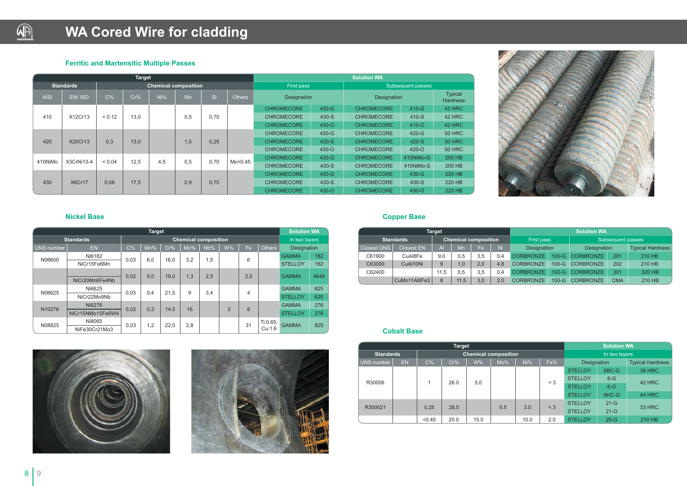#### **Ferritic and Martensitic Multiple Passes**

#### **Nickel Base**



## **WA Cored Wire for cladding**

|             |                  |            | <b>Target</b> |     |                             |      |               |                   | <b>Solution WA</b> |                   |           |                                   |  |
|-------------|------------------|------------|---------------|-----|-----------------------------|------|---------------|-------------------|--------------------|-------------------|-----------|-----------------------------------|--|
|             | <b>Standards</b> |            |               |     | <b>Chemical composition</b> |      |               | First pass        |                    | Subsequent passes |           |                                   |  |
| <b>AISI</b> | EN/ISO           | C%         | Cr%           | Ni% | Mn                          | Si   | <b>Others</b> | Designation       |                    | Designation       |           | <b>Typical</b><br><b>Hardness</b> |  |
|             |                  |            |               |     |                             |      |               | <b>CHROMECORE</b> | 430-G              | <b>CHROMECORE</b> | $410-G$   | <b>42 HRC</b>                     |  |
| 410         | X12Cr13          | < 0.12     | 13,0          |     | 0,5                         | 0,70 |               | <b>CHROMECORE</b> | 430-S              | <b>CHROMECORE</b> | 410-S     | 42 HRC                            |  |
|             |                  |            |               |     |                             |      |               | <b>CHROMECORE</b> | 430-Q              | <b>CHROMECORE</b> | $410 - O$ | <b>42 HRC</b>                     |  |
|             |                  |            |               |     |                             |      |               | <b>CHROMECORE</b> | 430-G              | <b>CHROMECORE</b> | 420-G     | <b>50 HRC</b>                     |  |
| 420         | X20Cr13          | 0.3        | 13.0          |     | 1,0                         | 0.25 |               | <b>CHROMECORE</b> | 430-S              | <b>CHROMECORE</b> | 420-S     | <b>50 HRC</b>                     |  |
|             |                  |            |               |     |                             |      |               | <b>CHROMECORE</b> | $430 - O$          | <b>CHROMECORE</b> | $420 - O$ | <b>50 HRC</b>                     |  |
| 410NiMo     | X3CrNi13-4       | ${}< 0.04$ | 12.5          | 4.5 | 0.5                         | 0.70 | $Mo=0.45$     | <b>CHROMECORE</b> | 430-G              | <b>CHROMECORE</b> | 410NiMo-G | 200 HB                            |  |
|             |                  |            |               |     |                             |      |               | <b>CHROMECORE</b> | 430-S              | <b>CHROMECORE</b> | 410NiMo-S | <b>200 HB</b>                     |  |
|             |                  |            |               |     |                             |      |               | <b>CHROMECORE</b> | 430-G              | <b>CHROMECORE</b> | $430 - G$ | 220 HB                            |  |
| 430         | X6Cr17           | 0.08       | 17.5          |     | 0.9                         | 0,70 |               | <b>CHROMECORE</b> | 430-S              | <b>CHROMECORE</b> | 430-S     | 220 HB                            |  |
|             |                  |            |               |     |                             |      |               | <b>CHROMECORE</b> | $430 - O$          | <b>CHROMECORE</b> | $430 - O$ | 220 HB                            |  |

|                   | <b>Target</b>    |                                                                |     |      |     |                             |   |     |          |                |      |  |  |  |
|-------------------|------------------|----------------------------------------------------------------|-----|------|-----|-----------------------------|---|-----|----------|----------------|------|--|--|--|
|                   | <b>Standards</b> |                                                                |     |      |     | <b>Chemical composition</b> |   |     |          | In two layers  |      |  |  |  |
| <b>UNS number</b> | <b>EN</b>        | C%<br>$W\%$<br>Mn%<br>Cr%<br>Mo%<br>Fe<br>Nb%<br><b>Others</b> |     |      |     | Designation                 |   |     |          |                |      |  |  |  |
| N06600            | Ni6182           |                                                                |     | 16,0 | 3,2 |                             |   | 6   |          | <b>GAMMA</b>   | 182  |  |  |  |
|                   | NiCr15Fe6Mn      | 0,03                                                           | 6,0 |      |     | 1,5                         |   |     |          | <b>STELLOY</b> | 182  |  |  |  |
|                   | NiCr20Mn6Fe4Nb   | 0.02                                                           | 5,0 | 19.0 | 1,3 | 2,5                         |   | 2,5 |          | <b>GAMMA</b>   | 4648 |  |  |  |
| N06625            | Ni6625           |                                                                |     | 21.5 | 9   | 3,4                         |   | 4   |          | <b>GAMMA</b>   | 625  |  |  |  |
|                   | NiCr22Mo9Nb      | 0,03                                                           | 0,4 |      |     |                             |   |     |          | <b>STELLOY</b> | 625  |  |  |  |
|                   | Ni6276           |                                                                |     |      | 16  |                             | 3 | 6   |          | <b>GAMMA</b>   | 276  |  |  |  |
| N10276            | NiCr15NMo15Fe6W4 | 0,02                                                           | 0,3 | 14.5 |     |                             |   |     |          | <b>STELLOY</b> | 276  |  |  |  |
| N08825            | Ni8065           |                                                                |     |      | 2,8 |                             |   |     | Ti:0.65; |                |      |  |  |  |
|                   | NiFe30Cr21Mo3    | 0,03                                                           | 1,2 | 22,0 |     |                             |   | 31  | Cu:1.6   | <b>GAMMA</b>   | 825  |  |  |  |

#### **Copper Base**

#### **Cobalt Base**

|                                                 |                   | Target |      |     |     | <b>Solution WA</b> |                                        |                    |     |                         |  |  |
|-------------------------------------------------|-------------------|--------|------|-----|-----|--------------------|----------------------------------------|--------------------|-----|-------------------------|--|--|
| <b>Standards</b><br><b>Chemical composition</b> |                   |        |      |     |     |                    | Subsequent passes<br><b>First pass</b> |                    |     |                         |  |  |
| <b>Closest UNS</b>                              | <b>Closest EN</b> | Al     | Mn   | Fe  | Ni  | <b>Designation</b> |                                        | <b>Designation</b> |     | <b>Typical Hardness</b> |  |  |
| C61900                                          | CuAI8Fe           | 9.0    | 0.5  | 3,5 | 0.4 | <b>CORBRONZE</b>   | $100-G$                                | <b>CORBRONZE</b>   | 201 | 210 HB                  |  |  |
| C63000                                          | CuAl10Ni          | 9      | 1.0  | 2.0 | 4.8 | <b>CORBRONZE</b>   | $100-G$                                | <b>CORBRONZE</b>   | 202 | 210 HB                  |  |  |
| C62400                                          |                   | 11.5   | 0.5  | 3.5 | 0.4 | <b>CORBRONZE</b>   | $100-G$                                | <b>CORBRONZE</b>   | 301 | 320 HB                  |  |  |
|                                                 | CuMn11Al8Fe3      | 8      | 11,5 | 3,0 | 2.0 | <b>CORBRONZE</b>   | $100-G$                                | <b>CORBRONZE</b>   | CMA | 210 HB                  |  |  |





|                  |           |        | <b>Target</b> |                             |      |      |          |                    | <b>Solution WA</b> |                         |                |        |               |
|------------------|-----------|--------|---------------|-----------------------------|------|------|----------|--------------------|--------------------|-------------------------|----------------|--------|---------------|
| <b>Standards</b> |           |        |               | <b>Chemical composition</b> |      |      |          | In two layers      |                    |                         |                |        |               |
| UNS number       | <b>EN</b> | $C\%$  | Cr%           | W%                          | Mo%  | Ni%  | Fe%      | <b>Designation</b> |                    | <b>Typical Hardness</b> |                |        |               |
| R30006           |           |        |               |                             |      |      |          |                    | <b>STELLOY</b>     | 6BC-G                   | <b>38 HRC</b>  |        |               |
|                  |           |        | 26.0          | 5,0                         |      |      | $\leq 3$ | <b>STELLOY</b>     | $6-G$              | 42 HRC                  |                |        |               |
|                  |           |        |               |                             |      |      |          | <b>STELLOY</b>     | $6--$              |                         |                |        |               |
|                  |           |        |               |                             |      |      |          | <b>STELLOY</b>     | 6HC-G              | <b>44 HRC</b>           |                |        |               |
|                  |           |        |               |                             | 0,25 | 28,0 |          | 5.5                | 3.0                | $<$ 3                   | <b>STELLOY</b> | $21-G$ | <b>33 HRC</b> |
| R300021          |           |        |               |                             |      |      |          | <b>STELLOY</b>     | $21-O$             |                         |                |        |               |
|                  |           | < 0.45 | 20.0          | 15.0                        |      | 10.0 | 2.0      | <b>STELLOY</b>     | $25-G$             | 210 HB                  |                |        |               |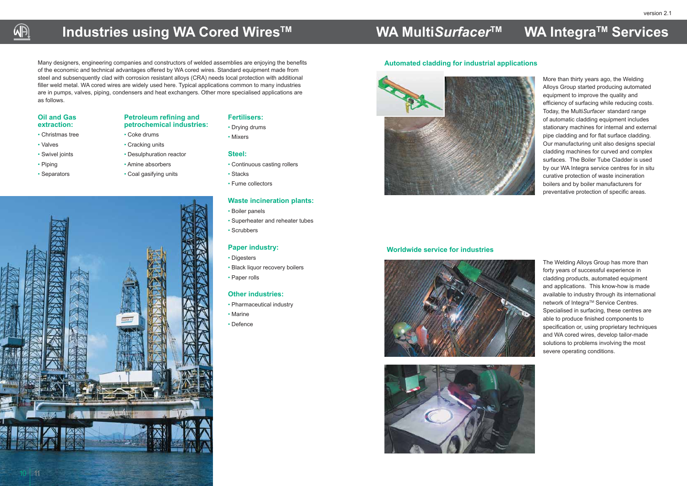More than thirty years ago, the Welding Alloys Group started producing automated equipment to improve the quality and efficiency of surfacing while reducing costs. Today, the Multi*Surfacer* standard range of automatic cladding equipment includes stationary machines for internal and external pipe cladding and for flat surface cladding. Our manufacturing unit also designs special cladding machines for curved and complex surfaces. The Boiler Tube Cladder is used by our WA Integra service centres for in situ curative protection of waste incineration boilers and by boiler manufacturers for preventative protection of specific areas.

The Welding Alloys Group has more than forty years of successful experience in cladding products, automated equipment and applications. This know-how is made available to industry through its international network of Integra™ Service Centres. Specialised in surfacing, these centres are able to produce finished components to specification or, using proprietary techniques and WA cored wires, develop tailor-made solutions to problems involving the most severe operating conditions.



#### **Automated cladding for industrial applications**



#### **Worldwide service for industries**





### **Industries using WA Cored Wires™**

Many designers, engineering companies and constructors of welded assemblies are enjoying the benefits of the economic and technical advantages offered by WA cored wires. Standard equipment made from steel and subsenquently clad with corrosion resistant alloys (CRA) needs local protection with additional filler weld metal. WA cored wires are widely used here. Typical applications common to many industries are in pumps, valves, piping, condensers and heat exchangers. Other more specialised applications are as follows.

#### **Oil and Gas extraction:**

- Christmas tree
- Valves

AA

- Swivel joints
- Piping

11

• Separators

## **Petroleum refining and**

### **petrochemical industries:**

• Coke drums

• Cracking units

- Desulphuration reactor
- Amine absorbers
- Coal gasifying units

#### **Fertilisers:**

- Drying drums
- Mixers

#### **Steel:**

- Continuous casting rollers
- Stacks
- Fume collectors

#### **Waste incineration plants:**

- Boiler panels
- Superheater and reheater tubes
- Scrubbers

#### **Paper industry:**

- Digesters
- Black liquor recovery boilers
- Paper rolls

#### **Other industries:**

- Pharmaceutical industry
- Marine
- Defence

### **WA MultiSurfacer<sup>™</sup> WA Integra™ Services**